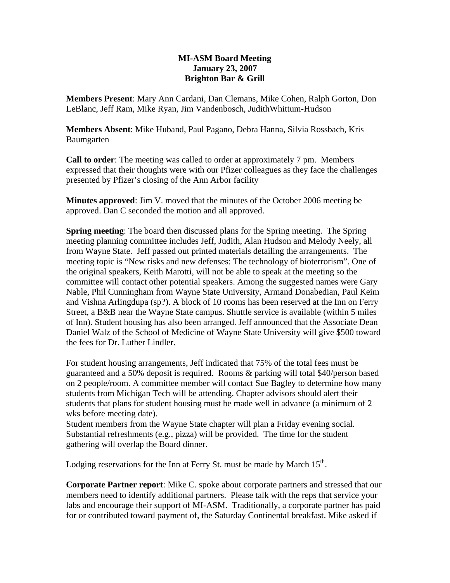## **MI-ASM Board Meeting January 23, 2007 Brighton Bar & Grill**

**Members Present**: Mary Ann Cardani, Dan Clemans, Mike Cohen, Ralph Gorton, Don LeBlanc, Jeff Ram, Mike Ryan, Jim Vandenbosch, JudithWhittum-Hudson

**Members Absent**: Mike Huband, Paul Pagano, Debra Hanna, Silvia Rossbach, Kris Baumgarten

**Call to order**: The meeting was called to order at approximately 7 pm. Members expressed that their thoughts were with our Pfizer colleagues as they face the challenges presented by Pfizer's closing of the Ann Arbor facility

**Minutes approved**: Jim V. moved that the minutes of the October 2006 meeting be approved. Dan C seconded the motion and all approved.

**Spring meeting**: The board then discussed plans for the Spring meeting. The Spring meeting planning committee includes Jeff, Judith, Alan Hudson and Melody Neely, all from Wayne State. Jeff passed out printed materials detailing the arrangements. The meeting topic is "New risks and new defenses: The technology of bioterrorism". One of the original speakers, Keith Marotti, will not be able to speak at the meeting so the committee will contact other potential speakers. Among the suggested names were Gary Nable, Phil Cunningham from Wayne State University, Armand Donabedian, Paul Keim and Vishna Arlingdupa (sp?). A block of 10 rooms has been reserved at the Inn on Ferry Street, a B&B near the Wayne State campus. Shuttle service is available (within 5 miles of Inn). Student housing has also been arranged. Jeff announced that the Associate Dean Daniel Walz of the School of Medicine of Wayne State University will give \$500 toward the fees for Dr. Luther Lindler.

For student housing arrangements, Jeff indicated that 75% of the total fees must be guaranteed and a 50% deposit is required. Rooms & parking will total \$40/person based on 2 people/room. A committee member will contact Sue Bagley to determine how many students from Michigan Tech will be attending. Chapter advisors should alert their students that plans for student housing must be made well in advance (a minimum of 2 wks before meeting date).

Student members from the Wayne State chapter will plan a Friday evening social. Substantial refreshments (e.g., pizza) will be provided. The time for the student gathering will overlap the Board dinner.

Lodging reservations for the Inn at Ferry St. must be made by March 15<sup>th</sup>.

**Corporate Partner report**: Mike C. spoke about corporate partners and stressed that our members need to identify additional partners. Please talk with the reps that service your labs and encourage their support of MI-ASM. Traditionally, a corporate partner has paid for or contributed toward payment of, the Saturday Continental breakfast. Mike asked if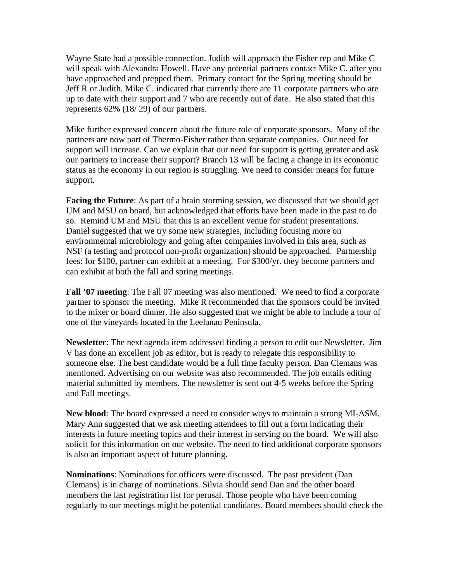Wayne State had a possible connection. Judith will approach the Fisher rep and Mike C will speak with Alexandra Howell. Have any potential partners contact Mike C. after you have approached and prepped them. Primary contact for the Spring meeting should be Jeff R or Judith. Mike C. indicated that currently there are 11 corporate partners who are up to date with their support and 7 who are recently out of date. He also stated that this represents 62% (18/ 29) of our partners.

Mike further expressed concern about the future role of corporate sponsors. Many of the partners are now part of Thermo-Fisher rather than separate companies. Our need for support will increase. Can we explain that our need for support is getting greater and ask our partners to increase their support? Branch 13 will be facing a change in its economic status as the economy in our region is struggling. We need to consider means for future support.

**Facing the Future**: As part of a brain storming session, we discussed that we should get UM and MSU on board, but acknowledged that efforts have been made in the past to do so. Remind UM and MSU that this is an excellent venue for student presentations. Daniel suggested that we try some new strategies, including focusing more on environmental microbiology and going after companies involved in this area, such as NSF (a testing and protocol non-profit organization) should be approached. Partnership fees: for \$100, partner can exhibit at a meeting. For \$300/yr. they become partners and can exhibit at both the fall and spring meetings.

**Fall '07 meeting**: The Fall 07 meeting was also mentioned. We need to find a corporate partner to sponsor the meeting. Mike R recommended that the sponsors could be invited to the mixer or board dinner. He also suggested that we might be able to include a tour of one of the vineyards located in the Leelanau Peninsula.

**Newsletter**: The next agenda item addressed finding a person to edit our Newsletter. Jim V has done an excellent job as editor, but is ready to relegate this responsibility to someone else. The best candidate would be a full time faculty person. Dan Clemans was mentioned. Advertising on our website was also recommended. The job entails editing material submitted by members. The newsletter is sent out 4-5 weeks before the Spring and Fall meetings.

**New blood**: The board expressed a need to consider ways to maintain a strong MI-ASM. Mary Ann suggested that we ask meeting attendees to fill out a form indicating their interests in future meeting topics and their interest in serving on the board. We will also solicit for this information on our website. The need to find additional corporate sponsors is also an important aspect of future planning.

**Nominations**: Nominations for officers were discussed. The past president (Dan Clemans) is in charge of nominations. Silvia should send Dan and the other board members the last registration list for perusal. Those people who have been coming regularly to our meetings might be potential candidates. Board members should check the